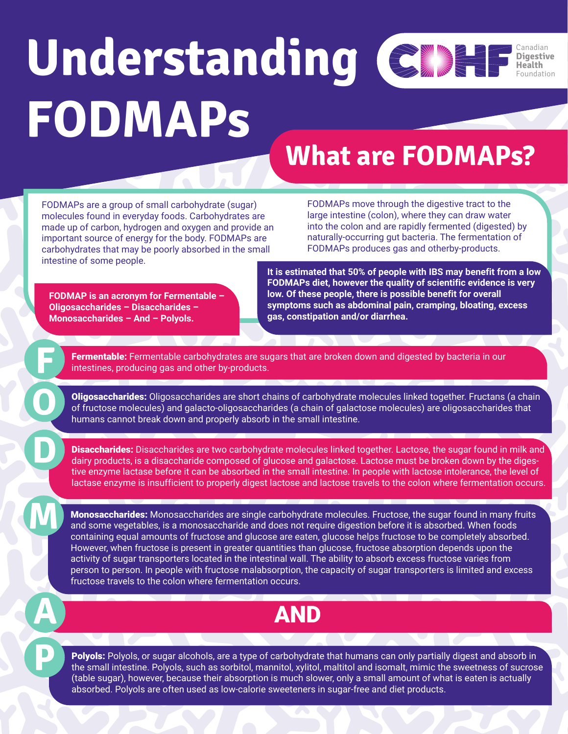#### **Understanding FODMAPs** Canadian **Digestive Health** Foundation

### **What are FODMAPs?**

FODMAPs are a group of small carbohydrate (sugar) molecules found in everyday foods. Carbohydrates are made up of carbon, hydrogen and oxygen and provide an important source of energy for the body. FODMAPs are carbohydrates that may be poorly absorbed in the small intestine of some people.

FODMAPs move through the digestive tract to the large intestine (colon), where they can draw water into the colon and are rapidly fermented (digested) by naturally-occurring gut bacteria. The fermentation of FODMAPs produces gas and otherby-products.

**FODMAP is an acronym for Fermentable – Oligosaccharides – Disaccharides – Monosaccharides – And – Polyols.**

**F**

**O**

**A**

**It is estimated that 50% of people with IBS may benefit from a low FODMAPs diet, however the quality of scientific evidence is very low. Of these people, there is possible benefit for overall symptoms such as abdominal pain, cramping, bloating, excess gas, constipation and/or diarrhea.**

Fermentable: Fermentable carbohydrates are sugars that are broken down and digested by bacteria in our intestines, producing gas and other by-products.

Oligosaccharides: Oligosaccharides are short chains of carbohydrate molecules linked together. Fructans (a chain of fructose molecules) and galacto-oligosaccharides (a chain of galactose molecules) are oligosaccharides that humans cannot break down and properly absorb in the small intestine.

**Disaccharides:** Disaccharides are two carbohydrate molecules linked together. Lactose, the sugar found in milk and dairy products, is a disaccharide composed of glucose and galactose. Lactose must be broken down by the digestive enzyme lactase before it can be absorbed in the small intestine. In people with lactose intolerance, the level of lactase enzyme is insufficient to properly digest lactose and lactose travels to the colon where fermentation occurs.

**Monosaccharides:** Monosaccharides are single carbohydrate molecules. Fructose, the sugar found in many fruits and some vegetables, is a monosaccharide and does not require digestion before it is absorbed. When foods containing equal amounts of fructose and glucose are eaten, glucose helps fructose to be completely absorbed. However, when fructose is present in greater quantities than glucose, fructose absorption depends upon the activity of sugar transporters located in the intestinal wall. The ability to absorb excess fructose varies from person to person. In people with fructose malabsorption, the capacity of sugar transporters is limited and excess fructose travels to the colon where fermentation occurs.

#### AND

Polyols: Polyols, or sugar alcohols, are a type of carbohydrate that humans can only partially digest and absorb in<br>the small intestine. Polyols, such as sorbitol, mannitol, xylitol, maltitol and isomalt, mimic the sweetne (table sugar), however, because their absorption is much slower, only a small amount of what is eaten is actually absorbed. Polyols are often used as low-calorie sweeteners in sugar-free and diet products.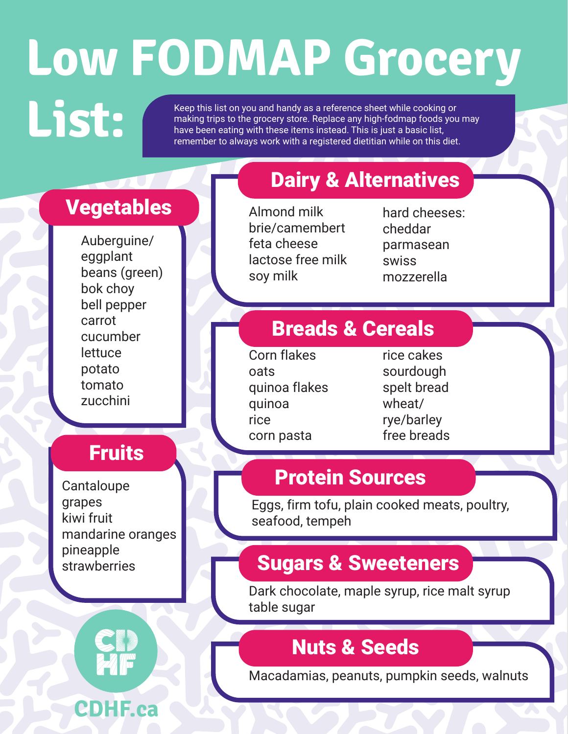# **Low FODMAP Grocery**

Keep this list on you and handy as a reference sheet while cooking or<br>making trips to the grocery store. Replace any high-fodmap foods you<br>have been eating with these items instead. This is just a basic list, making trips to the grocery store. Replace any high-fodmap foods you may have been eating with these items instead. This is just a basic list, remember to always work with a registered dietitian while on this diet.

#### Vegetables

Auberguine/ eggplant beans (green) bok choy bell pepper carrot cucumber **lettuce** potato tomato zucchini

#### **Fruits**

**Cantaloupe** grapes kiwi fruit mandarine oranges pineapple strawberries



#### Dairy & Alternatives

Almond milk brie/camembert feta cheese lactose free milk soy milk

hard cheeses: cheddar parmasean swiss mozzerella

#### Breads & Cereals

Corn flakes oats quinoa flakes quinoa rice corn pasta

rice cakes sourdough spelt bread wheat/ rye/barley free breads

#### Protein Sources

Eggs, firm tofu, plain cooked meats, poultry, seafood, tempeh

#### Sugars & Sweeteners

Dark chocolate, maple syrup, rice malt syrup table sugar

#### Nuts & Seeds

Macadamias, peanuts, pumpkin seeds, walnuts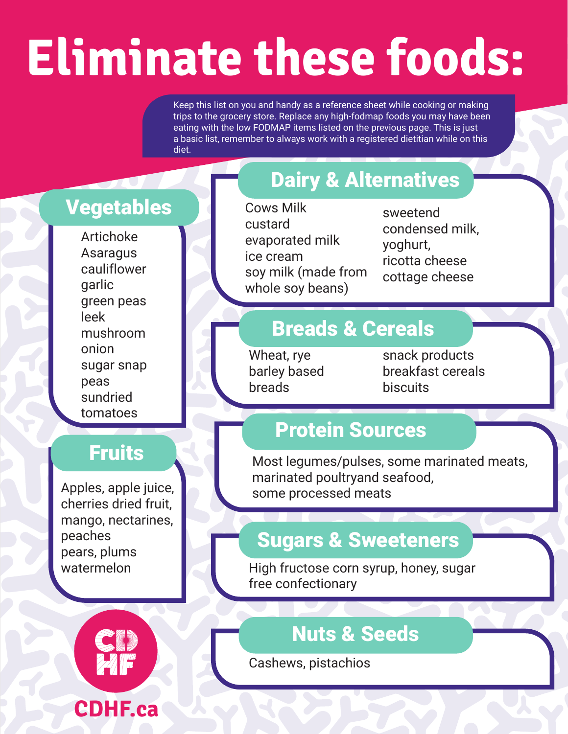### **Eliminate these foods:**

Keep this list on you and handy as a reference sheet while cooking or making trips to the grocery store. Replace any high-fodmap foods you may have been eating with the low FODMAP items listed on the previous page. This is just a basic list, remember to always work with a registered dietitian while on this diet.

#### Vegetables

Artichoke Asaragus cauliflower garlic green peas leek mushroom onion sugar snap peas sundried tomatoes

#### **Fruits**

Apples, apple juice, cherries dried fruit, mango, nectarines, peaches pears, plums watermelon



#### Dairy & Alternatives

Cows Milk custard evaporated milk ice cream soy milk (made from whole soy beans)

sweetend condensed milk, yoghurt, ricotta cheese cottage cheese

#### Breads & Cereals

Wheat, rye barley based breads

snack products breakfast cereals **biscuits** 

#### Protein Sources

Most legumes/pulses, some marinated meats, marinated poultryand seafood, some processed meats

#### Sugars & Sweeteners

High fructose corn syrup, honey, sugar free confectionary

#### Nuts & Seeds

Cashews, pistachios